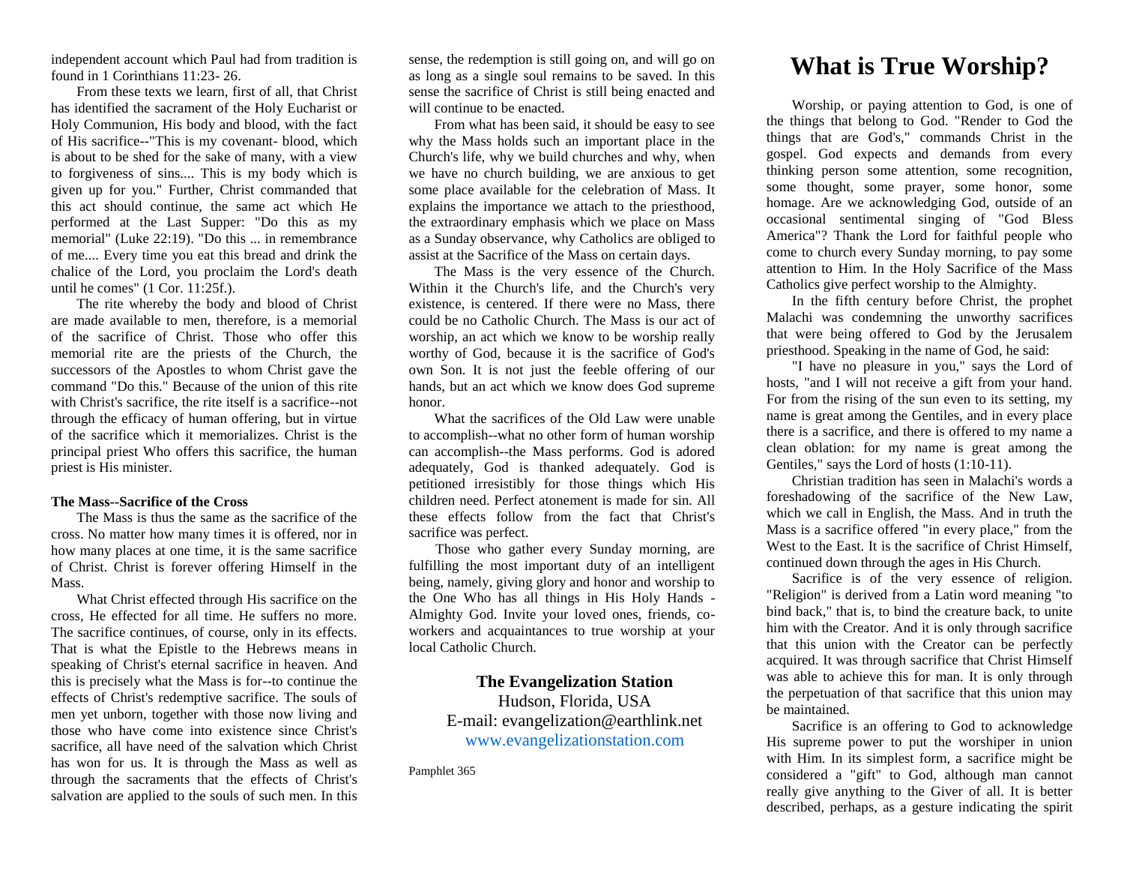independent account which Paul had from tradition is found in 1 Corinthians 11:23- 26.

From these texts we learn, first of all, that Christ has identified the sacrament of the Holy Eucharist or Holy Communion, His body and blood, with the fact of His sacrifice--"This is my covenant- blood, which is about to be shed for the sake of many, with a view to forgiveness of sins.... This is my body which is given up for you." Further, Christ commanded that this act should continue, the same act which He performed at the Last Supper: "Do this as my memorial" (Luke 22:19). "Do this ... in remembrance of me.... Every time you eat this bread and drink the chalice of the Lord, you proclaim the Lord's death until he comes" (1 Cor. 11:25f.).

The rite whereby the body and blood of Christ are made available to men, therefore, is a memorial of the sacrifice of Christ. Those who offer this memorial rite are the priests of the Church, the successors of the Apostles to whom Christ gave the command "Do this." Because of the union of this rite with Christ's sacrifice, the rite itself is a sacrifice--not through the efficacy of human offering, but in virtue of the sacrifice which it memorializes. Christ is the principal priest Who offers this sacrifice, the human priest is His minister.

### **The Mass--Sacrifice of the Cross**

The Mass is thus the same as the sacrifice of the cross. No matter how many times it is offered, nor in how many places at one time, it is the same sacrifice of Christ. Christ is forever offering Himself in the Mass.

What Christ effected through His sacrifice on the cross, He effected for all time. He suffers no more. The sacrifice continues, of course, only in its effects. That is what the Epistle to the Hebrews means in speaking of Christ's eternal sacrifice in heaven. And this is precisely what the Mass is for--to continue the effects of Christ's redemptive sacrifice. The souls of men yet unborn, together with those now living and those who have come into existence since Christ's sacrifice, all have need of the salvation which Christ has won for us. It is through the Mass as well as through the sacraments that the effects of Christ's salvation are applied to the souls of such men. In this

sense, the redemption is still going on, and will go on as long as a single soul remains to be saved. In this sense the sacrifice of Christ is still being enacted and will continue to be enacted.

From what has been said, it should be easy to see why the Mass holds such an important place in the Church's life, why we build churches and why, when we have no church building, we are anxious to get some place available for the celebration of Mass. It explains the importance we attach to the priesthood, the extraordinary emphasis which we place on Mass as a Sunday observance, why Catholics are obliged to assist at the Sacrifice of the Mass on certain days.

The Mass is the very essence of the Church. Within it the Church's life, and the Church's very existence, is centered. If there were no Mass, there could be no Catholic Church. The Mass is our act of worship, an act which we know to be worship really worthy of God, because it is the sacrifice of God's own Son. It is not just the feeble offering of our hands, but an act which we know does God supreme honor.

What the sacrifices of the Old Law were unable to accomplish--what no other form of human worship can accomplish--the Mass performs. God is adored adequately, God is thanked adequately. God is petitioned irresistibly for those things which His children need. Perfect atonement is made for sin. All these effects follow from the fact that Christ's sacrifice was perfect.

Those who gather every Sunday morning, are fulfilling the most important duty of an intelligent being, namely, giving glory and honor and worship to the One Who has all things in His Holy Hands - Almighty God. Invite your loved ones, friends, coworkers and acquaintances to true worship at your local Catholic Church.

## **The Evangelization Station**

Hudson, Florida, USA E-mail: evangelization@earthlink.net [www.evangelizationstation.com](http://www.pjpiisoe.org/)

Pamphlet 365

# **What is True Worship?**

Worship, or paying attention to God, is one of the things that belong to God. "Render to God the things that are God's," commands Christ in the gospel. God expects and demands from every thinking person some attention, some recognition, some thought, some prayer, some honor, some homage. Are we acknowledging God, outside of an occasional sentimental singing of "God Bless America"? Thank the Lord for faithful people who come to church every Sunday morning, to pay some attention to Him. In the Holy Sacrifice of the Mass Catholics give perfect worship to the Almighty.

In the fifth century before Christ, the prophet Malachi was condemning the unworthy sacrifices that were being offered to God by the Jerusalem priesthood. Speaking in the name of God, he said:

"I have no pleasure in you," says the Lord of hosts, "and I will not receive a gift from your hand. For from the rising of the sun even to its setting, my name is great among the Gentiles, and in every place there is a sacrifice, and there is offered to my name a clean oblation: for my name is great among the Gentiles," says the Lord of hosts (1:10-11).

Christian tradition has seen in Malachi's words a foreshadowing of the sacrifice of the New Law, which we call in English, the Mass. And in truth the Mass is a sacrifice offered "in every place," from the West to the East. It is the sacrifice of Christ Himself, continued down through the ages in His Church.

Sacrifice is of the very essence of religion. "Religion" is derived from a Latin word meaning "to bind back," that is, to bind the creature back, to unite him with the Creator. And it is only through sacrifice that this union with the Creator can be perfectly acquired. It was through sacrifice that Christ Himself was able to achieve this for man. It is only through the perpetuation of that sacrifice that this union may be maintained.

Sacrifice is an offering to God to acknowledge His supreme power to put the worshiper in union with Him. In its simplest form, a sacrifice might be considered a "gift" to God, although man cannot really give anything to the Giver of all. It is better described, perhaps, as a gesture indicating the spirit